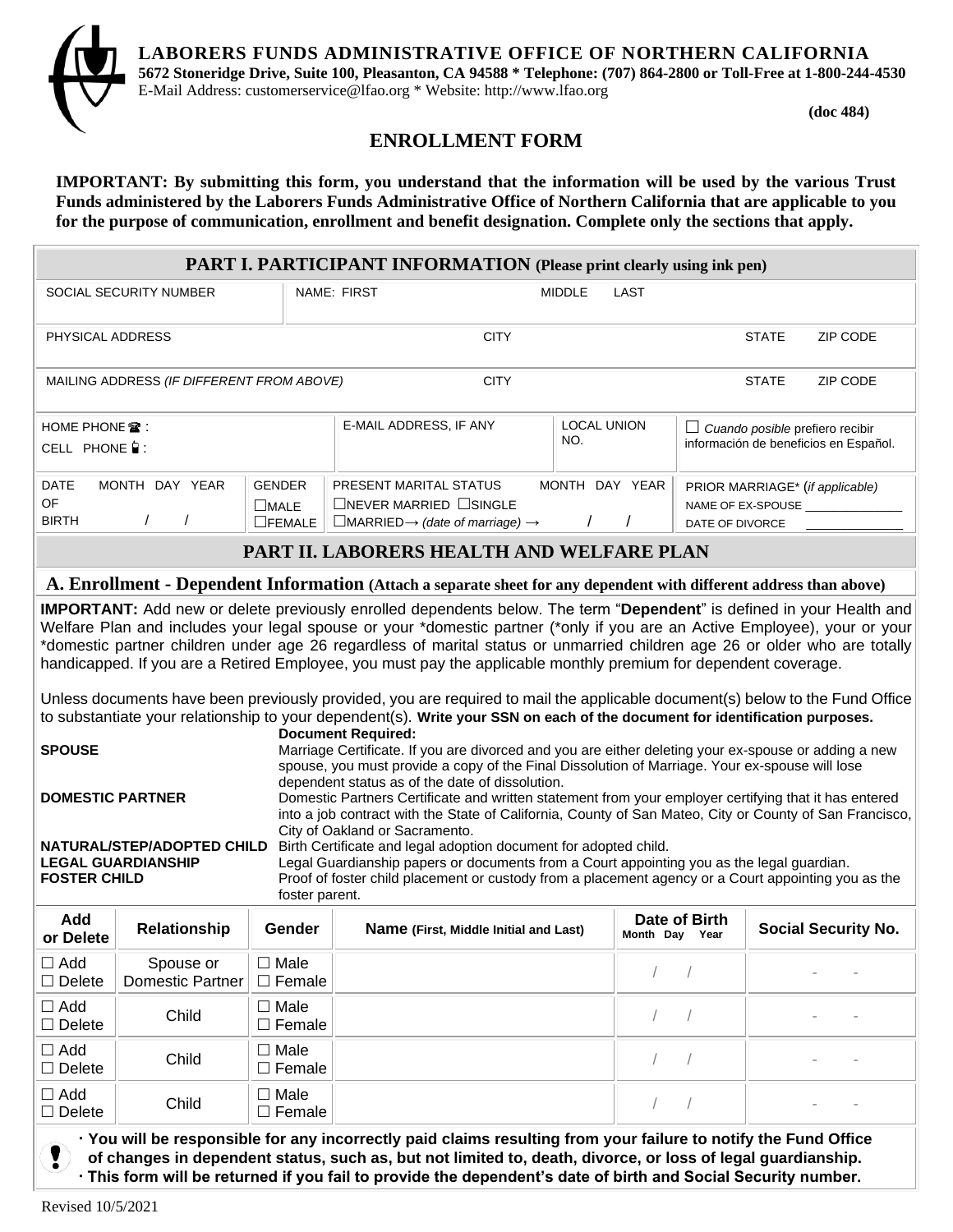**LABORERS FUNDS ADMINISTRATIVE OFFICE OF NORTHERN CALIFORNIA**



**5672 Stoneridge Drive, Suite 100, Pleasanton, CA 94588 \* Telephone: (707) 864-2800 or Toll-Free at 1-800-244-4530** E-Mail Address: customerservice@lfao.org \* Website: http://www.lfao.org

**(doc 484)**

## **ENROLLMENT FORM**

**IMPORTANT: By submitting this form, you understand that the information will be used by the various Trust Funds administered by the Laborers Funds Administrative Office of Northern California that are applicable to you for the purpose of communication, enrollment and benefit designation. Complete only the sections that apply.**

| <b>PART I. PARTICIPANT INFORMATION</b> (Please print clearly using ink pen)                                                                                                                                                                                                                                                                                                                                                                                                                                                                                                                                                                                                                                                                                                                                                                                                                                                                                                                                                                                                                                                                                                                                                                                                                                                                                                                                                                                                                                                                                                                                                                                                                                                                       |                                      |                                               |                                                                                                                               |                                              |               |                |                                                                          |              |                            |  |  |  |
|---------------------------------------------------------------------------------------------------------------------------------------------------------------------------------------------------------------------------------------------------------------------------------------------------------------------------------------------------------------------------------------------------------------------------------------------------------------------------------------------------------------------------------------------------------------------------------------------------------------------------------------------------------------------------------------------------------------------------------------------------------------------------------------------------------------------------------------------------------------------------------------------------------------------------------------------------------------------------------------------------------------------------------------------------------------------------------------------------------------------------------------------------------------------------------------------------------------------------------------------------------------------------------------------------------------------------------------------------------------------------------------------------------------------------------------------------------------------------------------------------------------------------------------------------------------------------------------------------------------------------------------------------------------------------------------------------------------------------------------------------|--------------------------------------|-----------------------------------------------|-------------------------------------------------------------------------------------------------------------------------------|----------------------------------------------|---------------|----------------|--------------------------------------------------------------------------|--------------|----------------------------|--|--|--|
|                                                                                                                                                                                                                                                                                                                                                                                                                                                                                                                                                                                                                                                                                                                                                                                                                                                                                                                                                                                                                                                                                                                                                                                                                                                                                                                                                                                                                                                                                                                                                                                                                                                                                                                                                   | SOCIAL SECURITY NUMBER               |                                               | NAME: FIRST                                                                                                                   |                                              | <b>MIDDLE</b> | LAST           |                                                                          |              |                            |  |  |  |
| PHYSICAL ADDRESS                                                                                                                                                                                                                                                                                                                                                                                                                                                                                                                                                                                                                                                                                                                                                                                                                                                                                                                                                                                                                                                                                                                                                                                                                                                                                                                                                                                                                                                                                                                                                                                                                                                                                                                                  |                                      |                                               |                                                                                                                               | <b>CITY</b>                                  |               |                |                                                                          | <b>STATE</b> | ZIP CODE                   |  |  |  |
| <b>CITY</b><br><b>ZIP CODE</b><br>MAILING ADDRESS (IF DIFFERENT FROM ABOVE)<br><b>STATE</b>                                                                                                                                                                                                                                                                                                                                                                                                                                                                                                                                                                                                                                                                                                                                                                                                                                                                                                                                                                                                                                                                                                                                                                                                                                                                                                                                                                                                                                                                                                                                                                                                                                                       |                                      |                                               |                                                                                                                               |                                              |               |                |                                                                          |              |                            |  |  |  |
| HOME PHONE $\mathbf{\mathcal{D}}$ :<br>CELL PHONE :                                                                                                                                                                                                                                                                                                                                                                                                                                                                                                                                                                                                                                                                                                                                                                                                                                                                                                                                                                                                                                                                                                                                                                                                                                                                                                                                                                                                                                                                                                                                                                                                                                                                                               |                                      |                                               | E-MAIL ADDRESS, IF ANY                                                                                                        | <b>LOCAL UNION</b><br>NO.                    |               |                | Cuando posible prefiero recibir<br>información de beneficios en Español. |              |                            |  |  |  |
| DATE<br>OF<br><b>BIRTH</b>                                                                                                                                                                                                                                                                                                                                                                                                                                                                                                                                                                                                                                                                                                                                                                                                                                                                                                                                                                                                                                                                                                                                                                                                                                                                                                                                                                                                                                                                                                                                                                                                                                                                                                                        | MONTH DAY YEAR<br>$\prime$           | <b>GENDER</b><br>$\Box$ MALE<br>$\Box$ FEMALE | PRESENT MARITAL STATUS<br>$\Box$ NEVER MARRIED $\Box$ SINGLE<br>$\Box$ MARRIED $\rightarrow$ (date of marriage) $\rightarrow$ |                                              |               | MONTH DAY YEAR | PRIOR MARRIAGE* (if applicable)<br>NAME OF EX-SPOUSE<br>DATE OF DIVORCE  |              |                            |  |  |  |
|                                                                                                                                                                                                                                                                                                                                                                                                                                                                                                                                                                                                                                                                                                                                                                                                                                                                                                                                                                                                                                                                                                                                                                                                                                                                                                                                                                                                                                                                                                                                                                                                                                                                                                                                                   |                                      |                                               | PART II. LABORERS HEALTH AND WELFARE PLAN                                                                                     |                                              |               |                |                                                                          |              |                            |  |  |  |
| A. Enrollment - Dependent Information (Attach a separate sheet for any dependent with different address than above)                                                                                                                                                                                                                                                                                                                                                                                                                                                                                                                                                                                                                                                                                                                                                                                                                                                                                                                                                                                                                                                                                                                                                                                                                                                                                                                                                                                                                                                                                                                                                                                                                               |                                      |                                               |                                                                                                                               |                                              |               |                |                                                                          |              |                            |  |  |  |
| <b>IMPORTANT:</b> Add new or delete previously enrolled dependents below. The term "Dependent" is defined in your Health and<br>Welfare Plan and includes your legal spouse or your *domestic partner (*only if you are an Active Employee), your or your<br>*domestic partner children under age 26 regardless of marital status or unmarried children age 26 or older who are totally<br>handicapped. If you are a Retired Employee, you must pay the applicable monthly premium for dependent coverage.<br>Unless documents have been previously provided, you are required to mail the applicable document(s) below to the Fund Office<br>to substantiate your relationship to your dependent(s). Write your SSN on each of the document for identification purposes.<br><b>Document Required:</b><br><b>SPOUSE</b><br>Marriage Certificate. If you are divorced and you are either deleting your ex-spouse or adding a new<br>spouse, you must provide a copy of the Final Dissolution of Marriage. Your ex-spouse will lose<br>dependent status as of the date of dissolution.<br><b>DOMESTIC PARTNER</b><br>Domestic Partners Certificate and written statement from your employer certifying that it has entered<br>into a job contract with the State of California, County of San Mateo, City or County of San Francisco,<br>City of Oakland or Sacramento.<br>NATURAL/STEP/ADOPTED CHILD<br>Birth Certificate and legal adoption document for adopted child.<br>Legal Guardianship papers or documents from a Court appointing you as the legal guardian.<br><b>LEGAL GUARDIANSHIP</b><br>Proof of foster child placement or custody from a placement agency or a Court appointing you as the<br><b>FOSTER CHILD</b><br>foster parent. |                                      |                                               |                                                                                                                               |                                              |               |                |                                                                          |              |                            |  |  |  |
| Add<br>or Delete                                                                                                                                                                                                                                                                                                                                                                                                                                                                                                                                                                                                                                                                                                                                                                                                                                                                                                                                                                                                                                                                                                                                                                                                                                                                                                                                                                                                                                                                                                                                                                                                                                                                                                                                  | Relationship                         | Gender                                        |                                                                                                                               | <b>Name (First, Middle Initial and Last)</b> |               | Month Day Year | Date of Birth                                                            |              | <b>Social Security No.</b> |  |  |  |
| $\Box$ Add<br>$\square$ Delete                                                                                                                                                                                                                                                                                                                                                                                                                                                                                                                                                                                                                                                                                                                                                                                                                                                                                                                                                                                                                                                                                                                                                                                                                                                                                                                                                                                                                                                                                                                                                                                                                                                                                                                    | Spouse or<br><b>Domestic Partner</b> | $\square$ Male<br>$\square$ Female            |                                                                                                                               |                                              |               | $\sqrt{2}$     | $\sqrt{2}$                                                               |              |                            |  |  |  |
| $\Box$ Add<br>$\Box$ Delete                                                                                                                                                                                                                                                                                                                                                                                                                                                                                                                                                                                                                                                                                                                                                                                                                                                                                                                                                                                                                                                                                                                                                                                                                                                                                                                                                                                                                                                                                                                                                                                                                                                                                                                       | Child                                | $\square$ Male<br>$\square$ Female            |                                                                                                                               |                                              |               | $\bigg)$       | $\sqrt{2}$                                                               |              |                            |  |  |  |
| $\Box$ Add<br>$\square$ Delete                                                                                                                                                                                                                                                                                                                                                                                                                                                                                                                                                                                                                                                                                                                                                                                                                                                                                                                                                                                                                                                                                                                                                                                                                                                                                                                                                                                                                                                                                                                                                                                                                                                                                                                    | Child                                | $\square$ Male<br>$\Box$ Female               |                                                                                                                               |                                              |               |                |                                                                          |              |                            |  |  |  |
| $\Box$ Add<br>$\Box$ Delete                                                                                                                                                                                                                                                                                                                                                                                                                                                                                                                                                                                                                                                                                                                                                                                                                                                                                                                                                                                                                                                                                                                                                                                                                                                                                                                                                                                                                                                                                                                                                                                                                                                                                                                       | Child                                | $\square$ Male<br>$\square$ Female            |                                                                                                                               |                                              |               | $\sqrt{2}$     | $\sqrt{2}$                                                               |              |                            |  |  |  |

 **∙ You will be responsible for any incorrectly paid claims resulting from your failure to notify the Fund Office of changes in dependent status, such as, but not limited to, death, divorce, or loss of legal guardianship. ∙ This form will be returned if you fail to provide the dependent's date of birth and Social Security number.**

 $\Box$  Female  $\Box$  Female  $\Box$